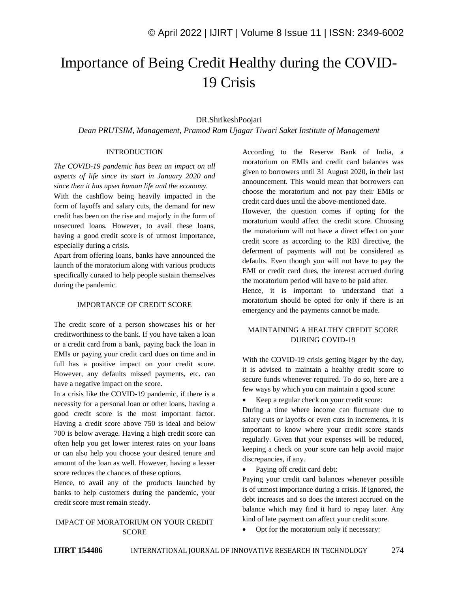# Importance of Being Credit Healthy during the COVID-19 Crisis

## DR.ShrikeshPoojari

*Dean PRUTSIM, Management, Pramod Ram Ujagar Tiwari Saket Institute of Management*

#### INTRODUCTION

*The COVID-19 pandemic has been an impact on all aspects of life since its start in January 2020 and since then it has upset human life and the economy.*

With the cashflow being heavily impacted in the form of layoffs and salary cuts, the demand for new credit has been on the rise and majorly in the form of unsecured loans. However, to avail these loans, having a good credit score is of utmost importance, especially during a crisis.

Apart from offering loans, banks have announced the launch of the moratorium along with various products specifically curated to help people sustain themselves during the pandemic.

## IMPORTANCE OF CREDIT SCORE

The credit score of a person showcases his or her creditworthiness to the bank. If you have taken a loan or a credit card from a bank, paying back the loan in EMIs or paying your credit card dues on time and in full has a positive impact on your credit score. However, any defaults missed payments, etc. can have a negative impact on the score.

In a crisis like the COVID-19 pandemic, if there is a necessity for a personal loan or other loans, having a good credit score is the most important factor. Having a credit score above 750 is ideal and below 700 is below average. Having a high credit score can often help you get lower interest rates on your loans or can also help you choose your desired tenure and amount of the loan as well. However, having a lesser score reduces the chances of these options.

Hence, to avail any of the products launched by banks to help customers during the pandemic, your credit score must remain steady.

# IMPACT OF MORATORIUM ON YOUR CREDIT SCORE

According to the Reserve Bank of India, a moratorium on EMIs and credit card balances was given to borrowers until 31 August 2020, in their last announcement. This would mean that borrowers can choose the moratorium and not pay their EMIs or credit card dues until the above-mentioned date.

However, the question comes if opting for the moratorium would affect the credit score. Choosing the moratorium will not have a direct effect on your credit score as according to the RBI directive, the deferment of payments will not be considered as defaults. Even though you will not have to pay the EMI or credit card dues, the interest accrued during the moratorium period will have to be paid after.

Hence, it is important to understand that a moratorium should be opted for only if there is an emergency and the payments cannot be made.

# MAINTAINING A HEALTHY CREDIT SCORE DURING COVID-19

With the COVID-19 crisis getting bigger by the day, it is advised to maintain a healthy credit score to secure funds whenever required. To do so, here are a few ways by which you can maintain a good score:

• Keep a regular check on your credit score:

During a time where income can fluctuate due to salary cuts or layoffs or even cuts in increments, it is important to know where your credit score stands regularly. Given that your expenses will be reduced, keeping a check on your score can help avoid major discrepancies, if any.

Paying off credit card debt:

Paying your credit card balances whenever possible is of utmost importance during a crisis. If ignored, the debt increases and so does the interest accrued on the balance which may find it hard to repay later. Any kind of late payment can affect your credit score.

Opt for the moratorium only if necessary: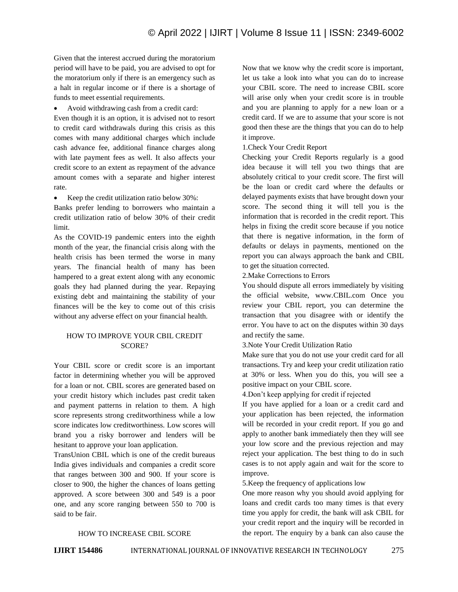Given that the interest accrued during the moratorium period will have to be paid, you are advised to opt for the moratorium only if there is an emergency such as a halt in regular income or if there is a shortage of funds to meet essential requirements.

Avoid withdrawing cash from a credit card:

Even though it is an option, it is advised not to resort to credit card withdrawals during this crisis as this comes with many additional charges which include cash advance fee, additional finance charges along with late payment fees as well. It also affects your credit score to an extent as repayment of the advance amount comes with a separate and higher interest rate.

• Keep the credit utilization ratio below 30%:

Banks prefer lending to borrowers who maintain a credit utilization ratio of below 30% of their credit limit.

As the COVID-19 pandemic enters into the eighth month of the year, the financial crisis along with the health crisis has been termed the worse in many years. The financial health of many has been hampered to a great extent along with any economic goals they had planned during the year. Repaying existing debt and maintaining the stability of your finances will be the key to come out of this crisis without any adverse effect on your financial health.

# HOW TO IMPROVE YOUR CBIL CREDIT SCORE?

Your CBIL score or credit score is an important factor in determining whether you will be approved for a loan or not. CBIL scores are generated based on your credit history which includes past credit taken and payment patterns in relation to them. A high score represents strong creditworthiness while a low score indicates low creditworthiness. Low scores will brand you a risky borrower and lenders will be hesitant to approve your loan application.

TransUnion CBIL which is one of the credit bureaus India gives individuals and companies a credit score that ranges between 300 and 900. If your score is closer to 900, the higher the chances of loans getting approved. A score between 300 and 549 is a poor one, and any score ranging between 550 to 700 is said to be fair.

Now that we know why the credit score is important, let us take a look into what you can do to increase your CBIL score. The need to increase CBIL score will arise only when your credit score is in trouble and you are planning to apply for a new loan or a credit card. If we are to assume that your score is not good then these are the things that you can do to help it improve.

# 1.Check Your Credit Report

Checking your Credit Reports regularly is a good idea because it will tell you two things that are absolutely critical to your credit score. The first will be the loan or credit card where the defaults or delayed payments exists that have brought down your score. The second thing it will tell you is the information that is recorded in the credit report. This helps in fixing the credit score because if you notice that there is negative information, in the form of defaults or delays in payments, mentioned on the report you can always approach the bank and CBIL to get the situation corrected.

2.Make Corrections to Errors

You should dispute all errors immediately by visiting the official website, www.CBIL.com Once you review your CBIL report, you can determine the transaction that you disagree with or identify the error. You have to act on the disputes within 30 days and rectify the same.

3.Note Your Credit Utilization Ratio

Make sure that you do not use your credit card for all transactions. Try and keep your credit utilization ratio at 30% or less. When you do this, you will see a positive impact on your CBIL score.

4.Don't keep applying for credit if rejected

If you have applied for a loan or a credit card and your application has been rejected, the information will be recorded in your credit report. If you go and apply to another bank immediately then they will see your low score and the previous rejection and may reject your application. The best thing to do in such cases is to not apply again and wait for the score to improve.

5.Keep the frequency of applications low

One more reason why you should avoid applying for loans and credit cards too many times is that every time you apply for credit, the bank will ask CBIL for your credit report and the inquiry will be recorded in the report. The enquiry by a bank can also cause the

# HOW TO INCREASE CBIL SCORE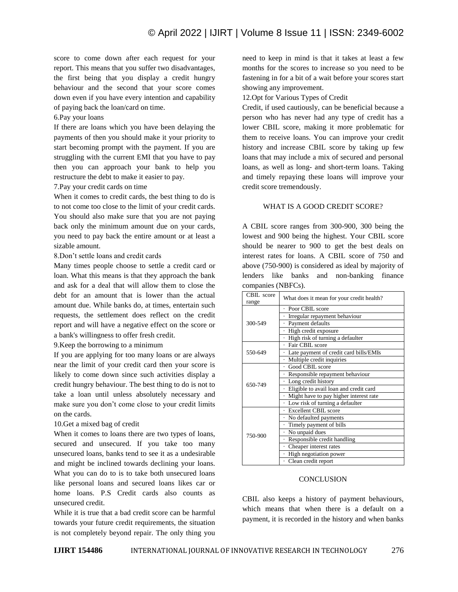score to come down after each request for your report. This means that you suffer two disadvantages, the first being that you display a credit hungry behaviour and the second that your score comes down even if you have every intention and capability of paying back the loan/card on time.

### 6.Pay your loans

If there are loans which you have been delaying the payments of then you should make it your priority to start becoming prompt with the payment. If you are struggling with the current EMI that you have to pay then you can approach your bank to help you restructure the debt to make it easier to pay.

#### 7.Pay your credit cards on time

When it comes to credit cards, the best thing to do is to not come too close to the limit of your credit cards. You should also make sure that you are not paying back only the minimum amount due on your cards, you need to pay back the entire amount or at least a sizable amount.

8.Don't settle loans and credit cards

Many times people choose to settle a credit card or loan. What this means is that they approach the bank and ask for a deal that will allow them to close the debt for an amount that is lower than the actual amount due. While banks do, at times, entertain such requests, the settlement does reflect on the credit report and will have a negative effect on the score or a bank's willingness to offer fresh credit.

9.Keep the borrowing to a minimum

If you are applying for too many loans or are always near the limit of your credit card then your score is likely to come down since such activities display a credit hungry behaviour. The best thing to do is not to take a loan until unless absolutely necessary and make sure you don't come close to your credit limits on the cards.

#### 10.Get a mixed bag of credit

When it comes to loans there are two types of loans, secured and unsecured. If you take too many unsecured loans, banks tend to see it as a undesirable and might be inclined towards declining your loans. What you can do to is to take both unsecured loans like personal loans and secured loans likes car or home loans. P.S Credit cards also counts as unsecured credit.

While it is true that a bad credit score can be harmful towards your future credit requirements, the situation is not completely beyond repair. The only thing you

need to keep in mind is that it takes at least a few months for the scores to increase so you need to be fastening in for a bit of a wait before your scores start showing any improvement.

12.Opt for Various Types of Credit

Credit, if used cautiously, can be beneficial because a person who has never had any type of credit has a lower CBIL score, making it more problematic for them to receive loans. You can improve your credit history and increase CBIL score by taking up few loans that may include a mix of secured and personal loans, as well as long- and short-term loans. Taking and timely repaying these loans will improve your credit score tremendously.

## WHAT IS A GOOD CREDIT SCORE?

A CBIL score ranges from 300-900, 300 being the lowest and 900 being the highest. Your CBIL score should be nearer to 900 to get the best deals on interest rates for loans. A CBIL score of 750 and above (750-900) is considered as ideal by majority of lenders like banks and non-banking finance companies (NBFCs).

| CBIL score<br>range | What does it mean for your credit health? |
|---------------------|-------------------------------------------|
| 300-549             | Poor CBIL score                           |
|                     | Irregular repayment behaviour             |
|                     | Payment defaults                          |
|                     | High credit exposure                      |
|                     | High risk of turning a defaulter          |
| 550-649             | Fair CBIL score                           |
|                     | Late payment of credit card bills/EMIs    |
|                     | Multiple credit inquiries                 |
| 650-749             | Good CBIL score                           |
|                     | Responsible repayment behaviour           |
|                     | Long credit history                       |
|                     | Eligible to avail loan and credit card    |
|                     | Might have to pay higher interest rate    |
|                     | Low risk of turning a defaulter           |
| 750-900             | Excellent CBIL score                      |
|                     | No defaulted payments                     |
|                     | · Timely payment of bills                 |
|                     | No unpaid dues                            |
|                     | Responsible credit handling               |
|                     | Cheaper interest rates                    |
|                     | High negotiation power                    |
|                     | · Clean credit report                     |

#### **CONCLUSION**

CBIL also keeps a history of payment behaviours, which means that when there is a default on a payment, it is recorded in the history and when banks